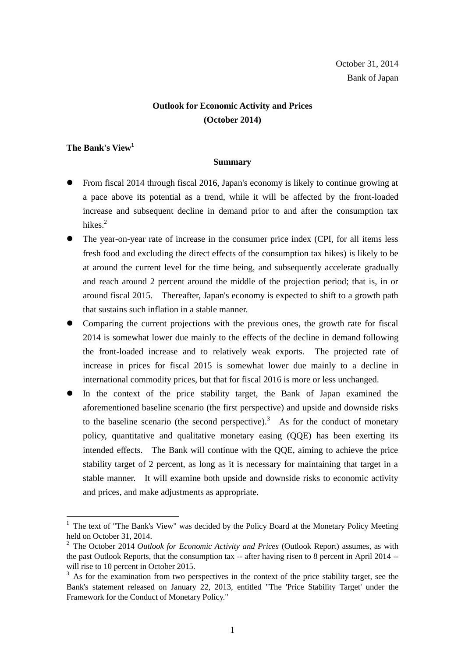# **Outlook for Economic Activity and Prices (October 2014)**

## **The Bank's View<sup>1</sup>**

 $\overline{a}$ 

## **Summary**

- From fiscal 2014 through fiscal 2016, Japan's economy is likely to continue growing at a pace above its potential as a trend, while it will be affected by the front-loaded increase and subsequent decline in demand prior to and after the consumption tax hikes.<sup>2</sup>
- The year-on-year rate of increase in the consumer price index (CPI, for all items less fresh food and excluding the direct effects of the consumption tax hikes) is likely to be at around the current level for the time being, and subsequently accelerate gradually and reach around 2 percent around the middle of the projection period; that is, in or around fiscal 2015. Thereafter, Japan's economy is expected to shift to a growth path that sustains such inflation in a stable manner.
- Comparing the current projections with the previous ones, the growth rate for fiscal 2014 is somewhat lower due mainly to the effects of the decline in demand following the front-loaded increase and to relatively weak exports. The projected rate of increase in prices for fiscal 2015 is somewhat lower due mainly to a decline in international commodity prices, but that for fiscal 2016 is more or less unchanged.
- In the context of the price stability target, the Bank of Japan examined the aforementioned baseline scenario (the first perspective) and upside and downside risks to the baseline scenario (the second perspective).<sup>3</sup> As for the conduct of monetary policy, quantitative and qualitative monetary easing (QQE) has been exerting its intended effects. The Bank will continue with the QQE, aiming to achieve the price stability target of 2 percent, as long as it is necessary for maintaining that target in a stable manner. It will examine both upside and downside risks to economic activity and prices, and make adjustments as appropriate.

<sup>1</sup> The text of "The Bank's View" was decided by the Policy Board at the Monetary Policy Meeting held on October 31, 2014.

<sup>2</sup> The October 2014 *Outlook for Economic Activity and Prices* (Outlook Report) assumes, as with the past Outlook Reports, that the consumption tax -- after having risen to 8 percent in April 2014 - will rise to 10 percent in October 2015.

 $3$  As for the examination from two perspectives in the context of the price stability target, see the Bank's statement released on January 22, 2013, entitled "The 'Price Stability Target' under the Framework for the Conduct of Monetary Policy."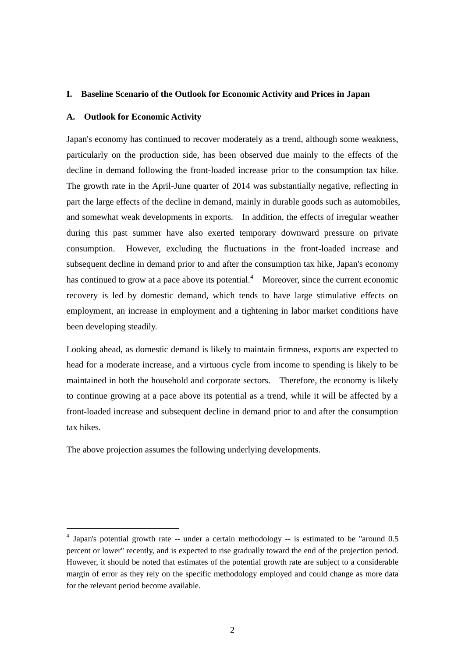### **I. Baseline Scenario of the Outlook for Economic Activity and Prices in Japan**

### **A. Outlook for Economic Activity**

Japan's economy has continued to recover moderately as a trend, although some weakness, particularly on the production side, has been observed due mainly to the effects of the decline in demand following the front-loaded increase prior to the consumption tax hike. The growth rate in the April-June quarter of 2014 was substantially negative, reflecting in part the large effects of the decline in demand, mainly in durable goods such as automobiles, and somewhat weak developments in exports. In addition, the effects of irregular weather during this past summer have also exerted temporary downward pressure on private consumption. However, excluding the fluctuations in the front-loaded increase and subsequent decline in demand prior to and after the consumption tax hike, Japan's economy has continued to grow at a pace above its potential.<sup>4</sup> Moreover, since the current economic recovery is led by domestic demand, which tends to have large stimulative effects on employment, an increase in employment and a tightening in labor market conditions have been developing steadily.

Looking ahead, as domestic demand is likely to maintain firmness, exports are expected to head for a moderate increase, and a virtuous cycle from income to spending is likely to be maintained in both the household and corporate sectors. Therefore, the economy is likely to continue growing at a pace above its potential as a trend, while it will be affected by a front-loaded increase and subsequent decline in demand prior to and after the consumption tax hikes.

The above projection assumes the following underlying developments.

<sup>&</sup>lt;sup>4</sup> Japan's potential growth rate -- under a certain methodology -- is estimated to be "around 0.5 percent or lower" recently, and is expected to rise gradually toward the end of the projection period. However, it should be noted that estimates of the potential growth rate are subject to a considerable margin of error as they rely on the specific methodology employed and could change as more data for the relevant period become available.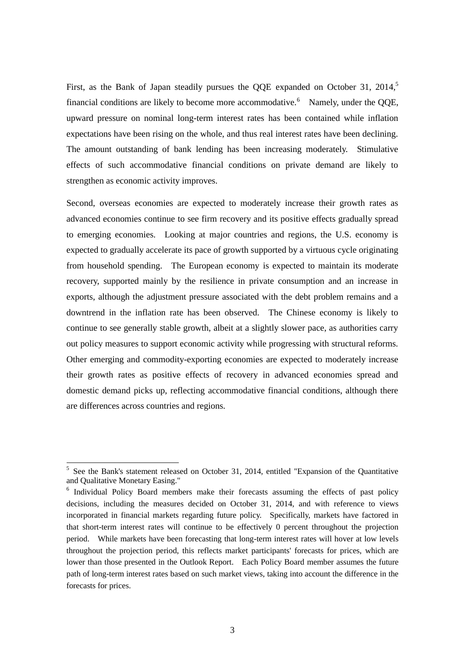First, as the Bank of Japan steadily pursues the QQE expanded on October 31, 2014,<sup>5</sup> financial conditions are likely to become more accommodative.<sup>6</sup> Namely, under the QQE, upward pressure on nominal long-term interest rates has been contained while inflation expectations have been rising on the whole, and thus real interest rates have been declining. The amount outstanding of bank lending has been increasing moderately. Stimulative effects of such accommodative financial conditions on private demand are likely to strengthen as economic activity improves.

Second, overseas economies are expected to moderately increase their growth rates as advanced economies continue to see firm recovery and its positive effects gradually spread to emerging economies. Looking at major countries and regions, the U.S. economy is expected to gradually accelerate its pace of growth supported by a virtuous cycle originating from household spending. The European economy is expected to maintain its moderate recovery, supported mainly by the resilience in private consumption and an increase in exports, although the adjustment pressure associated with the debt problem remains and a downtrend in the inflation rate has been observed. The Chinese economy is likely to continue to see generally stable growth, albeit at a slightly slower pace, as authorities carry out policy measures to support economic activity while progressing with structural reforms. Other emerging and commodity-exporting economies are expected to moderately increase their growth rates as positive effects of recovery in advanced economies spread and domestic demand picks up, reflecting accommodative financial conditions, although there are differences across countries and regions.

<sup>&</sup>lt;sup>5</sup> See the Bank's statement released on October 31, 2014, entitled "Expansion of the Quantitative and Qualitative Monetary Easing."

<sup>&</sup>lt;sup>6</sup> Individual Policy Board members make their forecasts assuming the effects of past policy decisions, including the measures decided on October 31, 2014, and with reference to views incorporated in financial markets regarding future policy. Specifically, markets have factored in that short-term interest rates will continue to be effectively 0 percent throughout the projection period. While markets have been forecasting that long-term interest rates will hover at low levels throughout the projection period, this reflects market participants' forecasts for prices, which are lower than those presented in the Outlook Report. Each Policy Board member assumes the future path of long-term interest rates based on such market views, taking into account the difference in the forecasts for prices.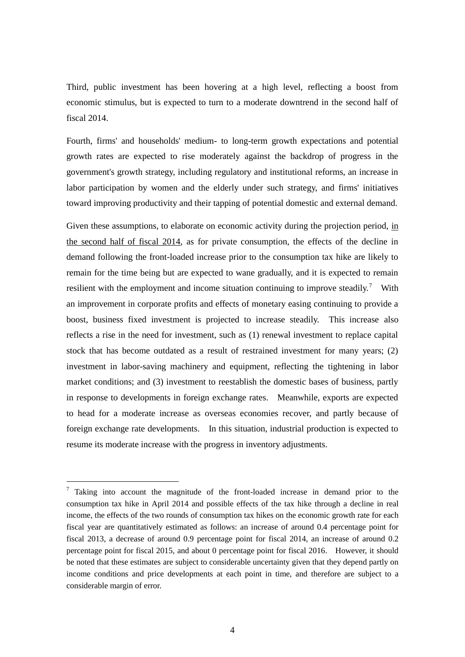Third, public investment has been hovering at a high level, reflecting a boost from economic stimulus, but is expected to turn to a moderate downtrend in the second half of fiscal 2014.

Fourth, firms' and households' medium- to long-term growth expectations and potential growth rates are expected to rise moderately against the backdrop of progress in the government's growth strategy, including regulatory and institutional reforms, an increase in labor participation by women and the elderly under such strategy, and firms' initiatives toward improving productivity and their tapping of potential domestic and external demand.

Given these assumptions, to elaborate on economic activity during the projection period, in the second half of fiscal 2014, as for private consumption, the effects of the decline in demand following the front-loaded increase prior to the consumption tax hike are likely to remain for the time being but are expected to wane gradually, and it is expected to remain resilient with the employment and income situation continuing to improve steadily.<sup>7</sup> With an improvement in corporate profits and effects of monetary easing continuing to provide a boost, business fixed investment is projected to increase steadily. This increase also reflects a rise in the need for investment, such as (1) renewal investment to replace capital stock that has become outdated as a result of restrained investment for many years; (2) investment in labor-saving machinery and equipment, reflecting the tightening in labor market conditions; and (3) investment to reestablish the domestic bases of business, partly in response to developments in foreign exchange rates. Meanwhile, exports are expected to head for a moderate increase as overseas economies recover, and partly because of foreign exchange rate developments. In this situation, industrial production is expected to resume its moderate increase with the progress in inventory adjustments.

 $\frac{7}{7}$  Taking into account the magnitude of the front-loaded increase in demand prior to the consumption tax hike in April 2014 and possible effects of the tax hike through a decline in real income, the effects of the two rounds of consumption tax hikes on the economic growth rate for each fiscal year are quantitatively estimated as follows: an increase of around 0.4 percentage point for fiscal 2013, a decrease of around 0.9 percentage point for fiscal 2014, an increase of around 0.2 percentage point for fiscal 2015, and about 0 percentage point for fiscal 2016. However, it should be noted that these estimates are subject to considerable uncertainty given that they depend partly on income conditions and price developments at each point in time, and therefore are subject to a considerable margin of error.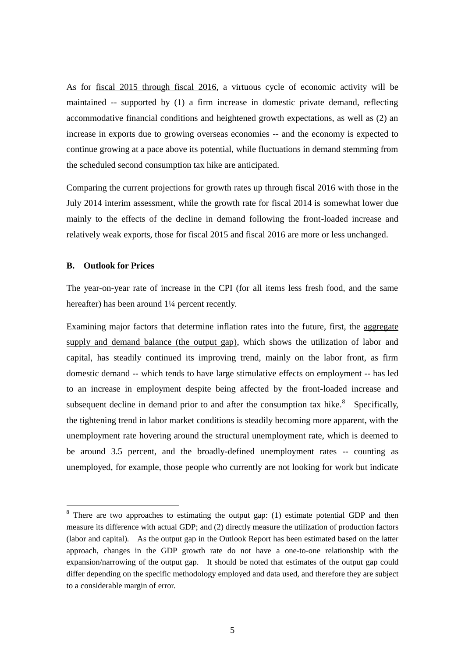As for fiscal 2015 through fiscal 2016, a virtuous cycle of economic activity will be maintained -- supported by (1) a firm increase in domestic private demand, reflecting accommodative financial conditions and heightened growth expectations, as well as (2) an increase in exports due to growing overseas economies -- and the economy is expected to continue growing at a pace above its potential, while fluctuations in demand stemming from the scheduled second consumption tax hike are anticipated.

Comparing the current projections for growth rates up through fiscal 2016 with those in the July 2014 interim assessment, while the growth rate for fiscal 2014 is somewhat lower due mainly to the effects of the decline in demand following the front-loaded increase and relatively weak exports, those for fiscal 2015 and fiscal 2016 are more or less unchanged.

## **B. Outlook for Prices**

-

The year-on-year rate of increase in the CPI (for all items less fresh food, and the same hereafter) has been around  $1\frac{1}{4}$  percent recently.

Examining major factors that determine inflation rates into the future, first, the aggregate supply and demand balance (the output gap), which shows the utilization of labor and capital, has steadily continued its improving trend, mainly on the labor front, as firm domestic demand -- which tends to have large stimulative effects on employment -- has led to an increase in employment despite being affected by the front-loaded increase and subsequent decline in demand prior to and after the consumption tax hike. $8$  Specifically, the tightening trend in labor market conditions is steadily becoming more apparent, with the unemployment rate hovering around the structural unemployment rate, which is deemed to be around 3.5 percent, and the broadly-defined unemployment rates -- counting as unemployed, for example, those people who currently are not looking for work but indicate

 $8$  There are two approaches to estimating the output gap: (1) estimate potential GDP and then measure its difference with actual GDP; and (2) directly measure the utilization of production factors (labor and capital). As the output gap in the Outlook Report has been estimated based on the latter approach, changes in the GDP growth rate do not have a one-to-one relationship with the expansion/narrowing of the output gap. It should be noted that estimates of the output gap could differ depending on the specific methodology employed and data used, and therefore they are subject to a considerable margin of error.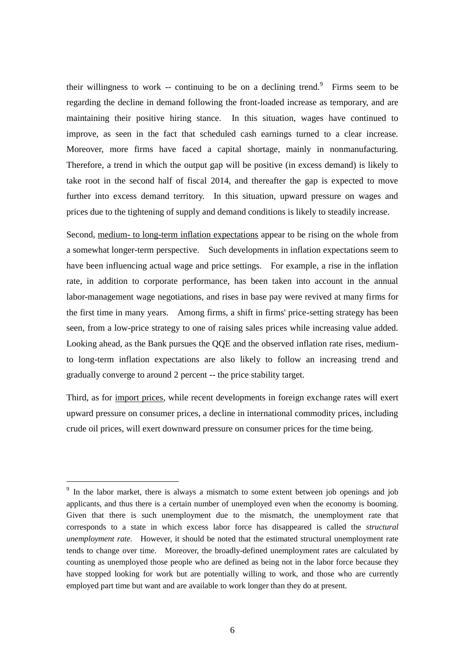their willingness to work -- continuing to be on a declining trend.<sup>9</sup> Firms seem to be regarding the decline in demand following the front-loaded increase as temporary, and are maintaining their positive hiring stance. In this situation, wages have continued to improve, as seen in the fact that scheduled cash earnings turned to a clear increase. Moreover, more firms have faced a capital shortage, mainly in nonmanufacturing. Therefore, a trend in which the output gap will be positive (in excess demand) is likely to take root in the second half of fiscal 2014, and thereafter the gap is expected to move further into excess demand territory. In this situation, upward pressure on wages and prices due to the tightening of supply and demand conditions is likely to steadily increase.

Second, medium- to long-term inflation expectations appear to be rising on the whole from a somewhat longer-term perspective. Such developments in inflation expectations seem to have been influencing actual wage and price settings. For example, a rise in the inflation rate, in addition to corporate performance, has been taken into account in the annual labor-management wage negotiations, and rises in base pay were revived at many firms for the first time in many years. Among firms, a shift in firms' price-setting strategy has been seen, from a low-price strategy to one of raising sales prices while increasing value added. Looking ahead, as the Bank pursues the QQE and the observed inflation rate rises, mediumto long-term inflation expectations are also likely to follow an increasing trend and gradually converge to around 2 percent -- the price stability target.

Third, as for import prices, while recent developments in foreign exchange rates will exert upward pressure on consumer prices, a decline in international commodity prices, including crude oil prices, will exert downward pressure on consumer prices for the time being.

<sup>&</sup>lt;sup>9</sup> In the labor market, there is always a mismatch to some extent between job openings and job applicants, and thus there is a certain number of unemployed even when the economy is booming. Given that there is such unemployment due to the mismatch, the unemployment rate that corresponds to a state in which excess labor force has disappeared is called the *structural unemployment rate*. However, it should be noted that the estimated structural unemployment rate tends to change over time. Moreover, the broadly-defined unemployment rates are calculated by counting as unemployed those people who are defined as being not in the labor force because they have stopped looking for work but are potentially willing to work, and those who are currently employed part time but want and are available to work longer than they do at present.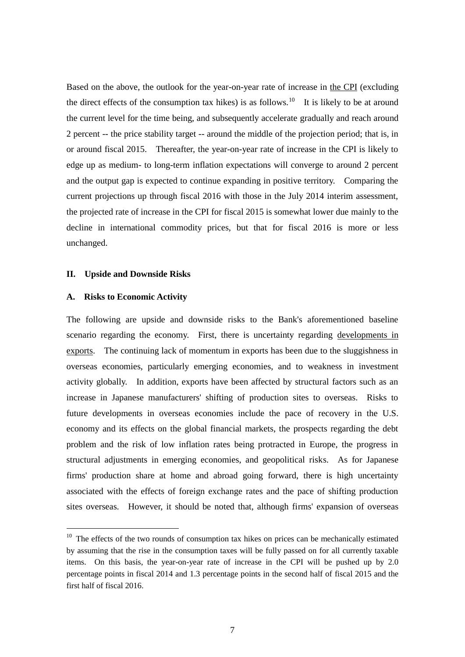Based on the above, the outlook for the year-on-year rate of increase in the CPI (excluding the direct effects of the consumption tax hikes) is as follows.<sup>10</sup> It is likely to be at around the current level for the time being, and subsequently accelerate gradually and reach around 2 percent -- the price stability target -- around the middle of the projection period; that is, in or around fiscal 2015. Thereafter, the year-on-year rate of increase in the CPI is likely to edge up as medium- to long-term inflation expectations will converge to around 2 percent and the output gap is expected to continue expanding in positive territory. Comparing the current projections up through fiscal 2016 with those in the July 2014 interim assessment, the projected rate of increase in the CPI for fiscal 2015 is somewhat lower due mainly to the decline in international commodity prices, but that for fiscal 2016 is more or less unchanged.

#### **II. Upside and Downside Risks**

## **A. Risks to Economic Activity**

-

The following are upside and downside risks to the Bank's aforementioned baseline scenario regarding the economy. First, there is uncertainty regarding developments in exports. The continuing lack of momentum in exports has been due to the sluggishness in overseas economies, particularly emerging economies, and to weakness in investment activity globally. In addition, exports have been affected by structural factors such as an increase in Japanese manufacturers' shifting of production sites to overseas. Risks to future developments in overseas economies include the pace of recovery in the U.S. economy and its effects on the global financial markets, the prospects regarding the debt problem and the risk of low inflation rates being protracted in Europe, the progress in structural adjustments in emerging economies, and geopolitical risks. As for Japanese firms' production share at home and abroad going forward, there is high uncertainty associated with the effects of foreign exchange rates and the pace of shifting production sites overseas. However, it should be noted that, although firms' expansion of overseas

<sup>&</sup>lt;sup>10</sup> The effects of the two rounds of consumption tax hikes on prices can be mechanically estimated by assuming that the rise in the consumption taxes will be fully passed on for all currently taxable items. On this basis, the year-on-year rate of increase in the CPI will be pushed up by 2.0 percentage points in fiscal 2014 and 1.3 percentage points in the second half of fiscal 2015 and the first half of fiscal 2016.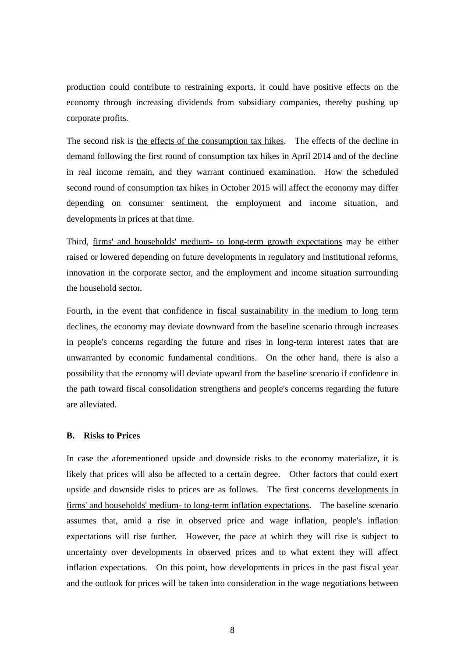production could contribute to restraining exports, it could have positive effects on the economy through increasing dividends from subsidiary companies, thereby pushing up corporate profits.

The second risk is the effects of the consumption tax hikes. The effects of the decline in demand following the first round of consumption tax hikes in April 2014 and of the decline in real income remain, and they warrant continued examination. How the scheduled second round of consumption tax hikes in October 2015 will affect the economy may differ depending on consumer sentiment, the employment and income situation, and developments in prices at that time.

Third, firms' and households' medium- to long-term growth expectations may be either raised or lowered depending on future developments in regulatory and institutional reforms, innovation in the corporate sector, and the employment and income situation surrounding the household sector.

Fourth, in the event that confidence in fiscal sustainability in the medium to long term declines, the economy may deviate downward from the baseline scenario through increases in people's concerns regarding the future and rises in long-term interest rates that are unwarranted by economic fundamental conditions. On the other hand, there is also a possibility that the economy will deviate upward from the baseline scenario if confidence in the path toward fiscal consolidation strengthens and people's concerns regarding the future are alleviated.

## **B. Risks to Prices**

In case the aforementioned upside and downside risks to the economy materialize, it is likely that prices will also be affected to a certain degree. Other factors that could exert upside and downside risks to prices are as follows. The first concerns developments in firms' and households' medium- to long-term inflation expectations. The baseline scenario assumes that, amid a rise in observed price and wage inflation, people's inflation expectations will rise further. However, the pace at which they will rise is subject to uncertainty over developments in observed prices and to what extent they will affect inflation expectations. On this point, how developments in prices in the past fiscal year and the outlook for prices will be taken into consideration in the wage negotiations between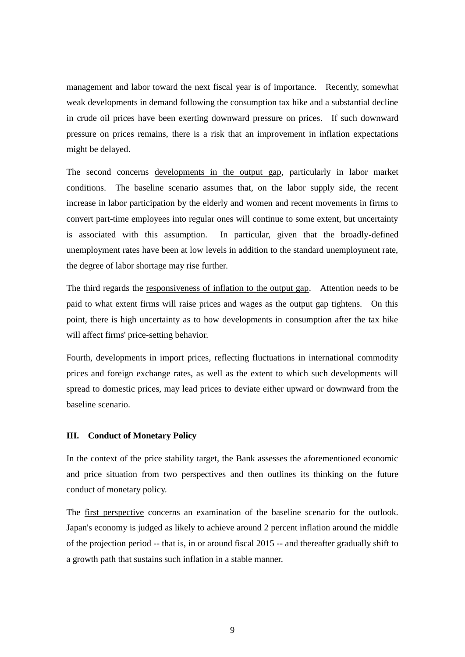management and labor toward the next fiscal year is of importance. Recently, somewhat weak developments in demand following the consumption tax hike and a substantial decline in crude oil prices have been exerting downward pressure on prices. If such downward pressure on prices remains, there is a risk that an improvement in inflation expectations might be delayed.

The second concerns developments in the output gap, particularly in labor market conditions. The baseline scenario assumes that, on the labor supply side, the recent increase in labor participation by the elderly and women and recent movements in firms to convert part-time employees into regular ones will continue to some extent, but uncertainty is associated with this assumption. In particular, given that the broadly-defined unemployment rates have been at low levels in addition to the standard unemployment rate, the degree of labor shortage may rise further.

The third regards the responsiveness of inflation to the output gap. Attention needs to be paid to what extent firms will raise prices and wages as the output gap tightens. On this point, there is high uncertainty as to how developments in consumption after the tax hike will affect firms' price-setting behavior.

Fourth, developments in import prices, reflecting fluctuations in international commodity prices and foreign exchange rates, as well as the extent to which such developments will spread to domestic prices, may lead prices to deviate either upward or downward from the baseline scenario.

## **III. Conduct of Monetary Policy**

In the context of the price stability target, the Bank assesses the aforementioned economic and price situation from two perspectives and then outlines its thinking on the future conduct of monetary policy.

The first perspective concerns an examination of the baseline scenario for the outlook. Japan's economy is judged as likely to achieve around 2 percent inflation around the middle of the projection period -- that is, in or around fiscal 2015 -- and thereafter gradually shift to a growth path that sustains such inflation in a stable manner.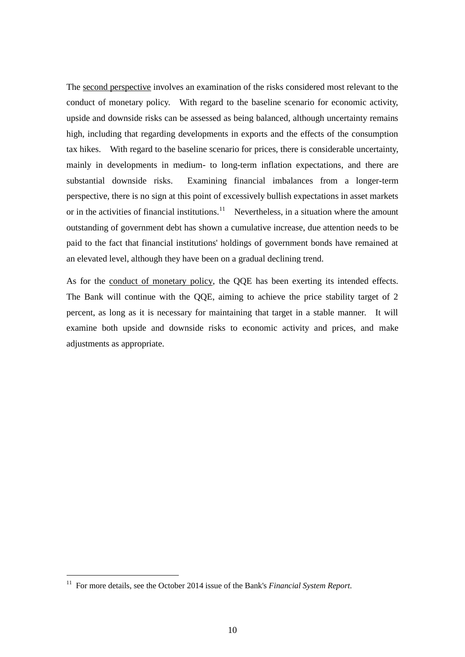The second perspective involves an examination of the risks considered most relevant to the conduct of monetary policy. With regard to the baseline scenario for economic activity, upside and downside risks can be assessed as being balanced, although uncertainty remains high, including that regarding developments in exports and the effects of the consumption tax hikes. With regard to the baseline scenario for prices, there is considerable uncertainty, mainly in developments in medium- to long-term inflation expectations, and there are substantial downside risks. Examining financial imbalances from a longer-term perspective, there is no sign at this point of excessively bullish expectations in asset markets or in the activities of financial institutions.<sup>11</sup> Nevertheless, in a situation where the amount outstanding of government debt has shown a cumulative increase, due attention needs to be paid to the fact that financial institutions' holdings of government bonds have remained at an elevated level, although they have been on a gradual declining trend.

As for the conduct of monetary policy, the QQE has been exerting its intended effects. The Bank will continue with the QQE, aiming to achieve the price stability target of 2 percent, as long as it is necessary for maintaining that target in a stable manner. It will examine both upside and downside risks to economic activity and prices, and make adjustments as appropriate.

<sup>11</sup> For more details, see the October 2014 issue of the Bank's *Financial System Report*.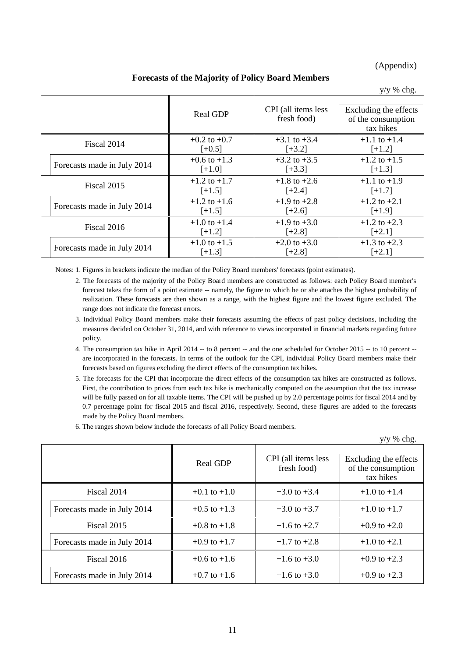## (Appendix)

**Forecasts of the Majority of Policy Board Members**

|                             |                  |                                    | $y/y$ % chg.                                             |
|-----------------------------|------------------|------------------------------------|----------------------------------------------------------|
|                             | <b>Real GDP</b>  | CPI (all items less<br>fresh food) | Excluding the effects<br>of the consumption<br>tax hikes |
| Fiscal 2014                 | $+0.2$ to $+0.7$ | $+3.1$ to $+3.4$                   | $+1.1$ to $+1.4$                                         |
|                             | $[-0.5]$         | $[-3.2]$                           | $[+1.2]$                                                 |
| Forecasts made in July 2014 | $+0.6$ to $+1.3$ | $+3.2$ to $+3.5$                   | $+1.2$ to $+1.5$                                         |
|                             | $[+1.0]$         | $[+3.3]$                           | $[+1.3]$                                                 |
| Fiscal 2015                 | $+1.2$ to $+1.7$ | $+1.8$ to $+2.6$                   | $+1.1$ to $+1.9$                                         |
|                             | $[+1.5]$         | $[-2.4]$                           | $[-1.7]$                                                 |
| Forecasts made in July 2014 | $+1.2$ to $+1.6$ | $+1.9$ to $+2.8$                   | $+1.2$ to $+2.1$                                         |
|                             | $[+1.5]$         | $[+2.6]$                           | $[-1.9]$                                                 |
| Fiscal 2016                 | $+1.0$ to $+1.4$ | $+1.9$ to $+3.0$                   | $+1.2$ to $+2.3$                                         |
|                             | $[-1.2]$         | $[-2.8]$                           | $[-2.1]$                                                 |
| Forecasts made in July 2014 | $+1.0$ to $+1.5$ | $+2.0$ to $+3.0$                   | $+1.3$ to $+2.3$                                         |
|                             | $[-1.3]$         | $[-2.8]$                           | $[-2.1]$                                                 |

Notes: 1. Figures in brackets indicate the median of the Policy Board members' forecasts (point estimates).

- 2. The forecasts of the majority of the Policy Board members are constructed as follows: each Policy Board member's forecast takes the form of a point estimate -- namely, the figure to which he or she attaches the highest probability of realization. These forecasts are then shown as a range, with the highest figure and the lowest figure excluded. The range does not indicate the forecast errors.
- 3. Individual Policy Board members make their forecasts assuming the effects of past policy decisions, including the measures decided on October 31, 2014, and with reference to views incorporated in financial markets regarding future policy.
- 4. The consumption tax hike in April 2014 -- to 8 percent -- and the one scheduled for October 2015 -- to 10 percent are incorporated in the forecasts. In terms of the outlook for the CPI, individual Policy Board members make their forecasts based on figures excluding the direct effects of the consumption tax hikes.
- 5. The forecasts for the CPI that incorporate the direct effects of the consumption tax hikes are constructed as follows. First, the contribution to prices from each tax hike is mechanically computed on the assumption that the tax increase will be fully passed on for all taxable items. The CPI will be pushed up by 2.0 percentage points for fiscal 2014 and by 0.7 percentage point for fiscal 2015 and fiscal 2016, respectively. Second, these figures are added to the forecasts made by the Policy Board members.
- 6. The ranges shown below include the forecasts of all Policy Board members.

|                             |                  |                                    | $y/y$ % chg.                                             |
|-----------------------------|------------------|------------------------------------|----------------------------------------------------------|
|                             | <b>Real GDP</b>  | CPI (all items less<br>fresh food) | Excluding the effects<br>of the consumption<br>tax hikes |
| Fiscal 2014                 | $+0.1$ to $+1.0$ | $+3.0$ to $+3.4$                   | $+1.0$ to $+1.4$                                         |
| Forecasts made in July 2014 | $+0.5$ to $+1.3$ | $+3.0$ to $+3.7$                   | $+1.0$ to $+1.7$                                         |
| Fiscal 2015                 | $+0.8$ to $+1.8$ | $+1.6$ to $+2.7$                   | $+0.9$ to $+2.0$                                         |
| Forecasts made in July 2014 | $+0.9$ to $+1.7$ | $+1.7$ to $+2.8$                   | $+1.0$ to $+2.1$                                         |
| Fiscal 2016                 | $+0.6$ to $+1.6$ | $+1.6$ to $+3.0$                   | $+0.9$ to $+2.3$                                         |
| Forecasts made in July 2014 | $+0.7$ to $+1.6$ | $+1.6$ to $+3.0$                   | $+0.9$ to $+2.3$                                         |